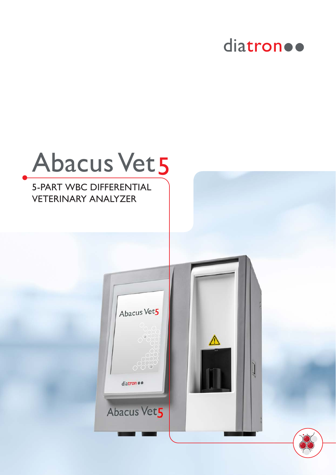

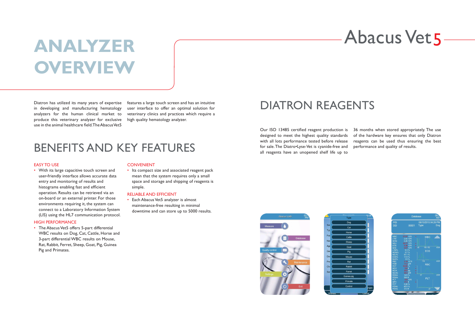# **Abacus Vet 5**

## **ANALYZER OVERVIEW**

Diatron has utilized its many years of expertise in developing and manufacturing hematology analyzers for the human clinical market to produce this veterinary analyzer for exclusive use in the animal healthcare field. The Abacus Vet5

features a large touch screen and has an intuitive user interface to offer an optimal solution for veterinary clinics and practices which require a high quality hematology analyzer.

> Our ISO 13485 certified reagent production is designed to meet the highest quality standards with all lots performance tested before release for sale. The Diatro•Lyse-Vet is cyanide-free and all reagents have an unopened shelf life up to





• The Abacus Vet5 offers 5-part differential WBC results on Dog, Cat, Cattle, Horse and 3-part differential WBC results on Mouse, Rat, Rabbit, Ferret, Sheep, Goat, Pig, Guinea Pig and Primates.

### **CONVENIENT**

36 months when stored appropriately. The use of the hardware key ensures that only Diatron reagents can be used thus ensuring the best performance and quality of results.



|                   |                            | <b>Database</b>             | 09:3<br><b>AM</b> |
|-------------------|----------------------------|-----------------------------|-------------------|
| PID<br><b>SID</b> | 00001                      | 08/10/2015 04:26 PM<br>Type | Dog               |
|                   |                            |                             |                   |
| <b>WBC</b>        | 37.97 10%<br>$\ddot{}$     | <b>WBC</b>                  |                   |
| <b>LYM</b>        | 2.00 10%                   |                             |                   |
| <b>MON</b>        | 0.26 10%                   |                             |                   |
| <b>NEU</b>        | 30.77 10%<br>$\ddot{}$     |                             |                   |
| <b>EOS</b>        | 4.36 10%<br>$\ddot{}$      |                             |                   |
| <b>BAS</b>        | 0.57 10 <sup>9</sup><br>ä. | 156 162<br>40               | 400f              |
| LYM%              | 5.3 %                      | <b>EOS</b>                  |                   |
| MON%              | 0.7%                       |                             |                   |
| NEU%              | 81.1%                      |                             |                   |
| EOS%              | 11.5%                      |                             |                   |
| BAS%              | 1.5%                       |                             |                   |
| <b>RBC</b>        | 3.19 10 <sup>12</sup>      | 118                         | 400fl             |
| <b>HGB</b>        | 11.2 g/dl                  | <b>RBC</b>                  |                   |
| <b>HCT</b>        | 32.60%                     |                             |                   |
| <b>MCV</b>        | 102 fi<br>$\ddot{}$        |                             |                   |
| <b>MCH</b>        | 35.0 pg<br>¥               |                             |                   |
| <b>MCHC</b>       | 34.3 g/dl<br>$\ddot{}$     |                             |                   |
| <b>RDWc</b>       | 14.5%                      | 37                          | 200f              |
| <b>RDWs</b>       | 58.6 fl                    | PLT                         |                   |
| <b>PLT</b>        | 153 10%                    |                             |                   |
| <b>MPV</b>        | 17.3 f<br>$\ddot{}$        |                             |                   |
| <b>PCT</b>        | 0.26%                      |                             |                   |
| <b>PDWc</b>       | 45.5%                      |                             |                   |
| <b>PDWs</b>       | 31.4 fl                    | $\overline{37}$             |                   |
|                   |                            |                             |                   |
|                   |                            |                             |                   |

#### EASY TO USE

Each Abacus Vet5 analyzer is almost maintenance-free resulting in minimal downtime and can store up to 5000 results.

• With its large capacitive touch screen and user-friendly interface allows accurate data entry and monitoring of results and histograms enabling fast and efficient operation. Results can be retrieved via an on-board or an external printer. For those environments requiring it, the system can connect to a Laboratory Information System (LIS) using the HL7 communication protocol.

#### HIGH PERFORMANCE

• Its compact size and associated reagent pack mean that the system requires only a small space and storage and shipping of reagents is simple.

#### RELIABLE AND EFFICIENT

### BENEFITS AND KEY FEATURES

DIATRON REAGENTS